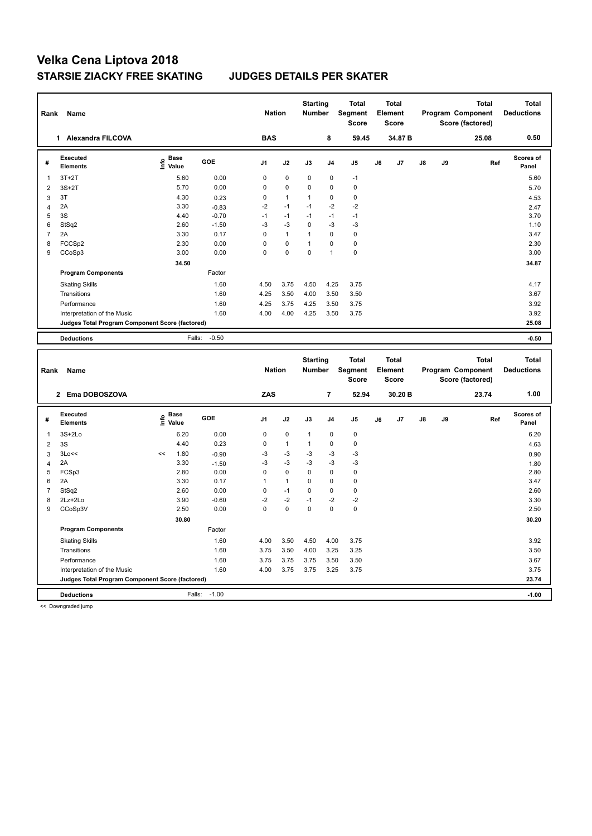| Rank                    | Name                                            |                                           |                 | <b>Nation</b>  |              | <b>Starting</b><br><b>Number</b> |                | <b>Total</b><br>Segment<br><b>Score</b> |    | <b>Total</b><br>Element<br><b>Score</b> |    |           | <b>Total</b><br>Program Component<br>Score (factored) |     | <b>Total</b><br><b>Deductions</b> |
|-------------------------|-------------------------------------------------|-------------------------------------------|-----------------|----------------|--------------|----------------------------------|----------------|-----------------------------------------|----|-----------------------------------------|----|-----------|-------------------------------------------------------|-----|-----------------------------------|
|                         | 1 Alexandra FILCOVA                             |                                           |                 | <b>BAS</b>     |              |                                  | 8              | 59.45                                   |    | 34.87 B                                 |    |           | 25.08                                                 |     | 0.50                              |
| #                       | <b>Executed</b><br><b>Elements</b>              | $\frac{e}{E}$ Base<br>$\frac{e}{E}$ Value | GOE             | J <sub>1</sub> | J2           | J3                               | J <sub>4</sub> | J5                                      | J6 | J7                                      | J8 | J9        |                                                       | Ref | <b>Scores of</b><br>Panel         |
| $\mathbf 1$             | $3T+2T$                                         | 5.60                                      | 0.00            | $\mathbf 0$    | 0            | 0                                | $\mathbf 0$    | $-1$                                    |    |                                         |    |           |                                                       |     | 5.60                              |
| $\overline{\mathbf{c}}$ | $3S+2T$                                         | 5.70                                      | 0.00            | $\mathbf 0$    | 0            | $\mathbf 0$                      | 0              | $\mathbf 0$                             |    |                                         |    |           |                                                       |     | 5.70                              |
| 3                       | 3T                                              | 4.30                                      | 0.23            | $\mathbf 0$    | $\mathbf{1}$ | $\mathbf{1}$                     | $\mathbf 0$    | $\mathbf 0$                             |    |                                         |    |           |                                                       |     | 4.53                              |
| $\overline{4}$          | 2A                                              | 3.30                                      | $-0.83$         | $-2$           | $-1$         | $-1$                             | $-2$           | $-2$                                    |    |                                         |    |           |                                                       |     | 2.47                              |
| 5                       | 3S                                              | 4.40                                      | $-0.70$         | $-1$           | $-1$         | $-1$                             | $-1$           | $-1$                                    |    |                                         |    |           |                                                       |     | 3.70                              |
| 6                       | StSq2                                           | 2.60                                      | $-1.50$         | $-3$           | $-3$         | 0                                | $-3$           | $-3$                                    |    |                                         |    |           |                                                       |     | 1.10                              |
| $\overline{7}$          | 2A                                              | 3.30                                      | 0.17            | $\mathbf 0$    | $\mathbf{1}$ | $\mathbf{1}$                     | $\pmb{0}$      | $\mathbf 0$                             |    |                                         |    |           |                                                       |     | 3.47                              |
| 8                       | FCCSp2                                          | 2.30                                      | 0.00            | $\mathbf 0$    | 0            | $\mathbf{1}$                     | $\mathbf 0$    | $\pmb{0}$                               |    |                                         |    |           |                                                       |     | 2.30                              |
| 9                       | CCoSp3                                          | 3.00                                      | 0.00            | $\mathbf 0$    | $\mathbf 0$  | 0                                | $\overline{1}$ | $\pmb{0}$                               |    |                                         |    |           |                                                       |     | 3.00                              |
|                         |                                                 | 34.50                                     |                 |                |              |                                  |                |                                         |    |                                         |    |           |                                                       |     | 34.87                             |
|                         | <b>Program Components</b>                       |                                           | Factor          |                |              |                                  |                |                                         |    |                                         |    |           |                                                       |     |                                   |
|                         | <b>Skating Skills</b>                           |                                           | 1.60            | 4.50           | 3.75         | 4.50                             | 4.25           | 3.75                                    |    |                                         |    |           |                                                       |     | 4.17                              |
|                         | Transitions                                     |                                           | 1.60            | 4.25           | 3.50         | 4.00                             | 3.50           | 3.50                                    |    |                                         |    |           |                                                       |     | 3.67                              |
|                         | Performance                                     |                                           | 1.60            | 4.25           | 3.75         | 4.25                             | 3.50           | 3.75                                    |    |                                         |    |           |                                                       |     | 3.92                              |
|                         | Interpretation of the Music                     |                                           | 1.60            | 4.00           | 4.00         | 4.25                             | 3.50           | 3.75                                    |    |                                         |    |           |                                                       |     | 3.92                              |
|                         | Judges Total Program Component Score (factored) |                                           |                 |                |              |                                  |                |                                         |    |                                         |    |           |                                                       |     | 25.08                             |
|                         | <b>Deductions</b>                               | Falls:                                    | $-0.50$         |                |              |                                  |                |                                         |    |                                         |    |           |                                                       |     | $-0.50$                           |
|                         |                                                 |                                           |                 |                |              |                                  |                |                                         |    |                                         |    |           |                                                       |     |                                   |
|                         |                                                 |                                           |                 |                |              |                                  |                |                                         |    |                                         |    |           |                                                       |     |                                   |
| Rank                    | Name                                            |                                           |                 | <b>Nation</b>  |              | <b>Starting</b><br><b>Number</b> |                | <b>Total</b><br>Segment<br><b>Score</b> |    | <b>Total</b><br>Element<br><b>Score</b> |    |           | <b>Total</b><br>Program Component<br>Score (factored) |     | <b>Total</b><br><b>Deductions</b> |
|                         | 2 Ema DOBOSZOVA                                 |                                           |                 | ZAS            |              |                                  | $\overline{7}$ | 52.94                                   |    | 30.20 B                                 |    |           | 23.74                                                 |     | 1.00                              |
| #                       | <b>Executed</b><br><b>Elements</b>              | $\epsilon$ Base<br>$\epsilon$ Value       | GOE             | J1             | J2           | J3                               | J <sub>4</sub> | J5                                      | J6 | J7                                      | J8 | <b>J9</b> |                                                       | Ref | <b>Scores of</b><br>Panel         |
| $\mathbf{1}$            |                                                 | 6.20                                      |                 | $\mathbf 0$    | 0            | $\mathbf{1}$                     | 0              | $\mathbf 0$                             |    |                                         |    |           |                                                       |     |                                   |
|                         | $3S+2Lo$                                        |                                           | 0.00            |                |              |                                  |                |                                         |    |                                         |    |           |                                                       |     | 6.20                              |
| $\overline{2}$          | 3S                                              | 4.40                                      | 0.23            | $\pmb{0}$      | $\mathbf{1}$ | 1                                | 0              | $\pmb{0}$                               |    |                                         |    |           |                                                       |     | 4.63                              |
| 3                       | 3Lo<<<br>2A                                     | 1.80<br><<<br>3.30                        | $-0.90$         | -3<br>-3       | $-3$<br>$-3$ | -3<br>$-3$                       | $-3$<br>$-3$   | $-3$<br>$-3$                            |    |                                         |    |           |                                                       |     | 0.90                              |
| $\overline{4}$<br>5     | FCSp3                                           | 2.80                                      | $-1.50$<br>0.00 | $\mathbf 0$    | 0            | 0                                | $\pmb{0}$      | $\pmb{0}$                               |    |                                         |    |           |                                                       |     | 1.80<br>2.80                      |
| 6                       | 2A                                              | 3.30                                      | 0.17            | $\mathbf{1}$   | $\mathbf{1}$ | 0                                | $\mathbf 0$    | $\pmb{0}$                               |    |                                         |    |           |                                                       |     | 3.47                              |
| $\overline{7}$          | StSq2                                           | 2.60                                      | 0.00            | $\mathbf 0$    | $-1$         | 0                                | $\mathbf 0$    | $\mathbf 0$                             |    |                                         |    |           |                                                       |     | 2.60                              |
| 8                       | 2Lz+2Lo                                         | 3.90                                      | $-0.60$         | $-2$           | $-2$         | $-1$                             | $-2$           | $-2$                                    |    |                                         |    |           |                                                       |     | 3.30                              |
| 9                       | CCoSp3V                                         | 2.50                                      | 0.00            | $\mathbf 0$    | $\mathbf 0$  | 0                                | $\mathbf 0$    | $\mathbf 0$                             |    |                                         |    |           |                                                       |     | 2.50                              |
|                         |                                                 | 30.80                                     |                 |                |              |                                  |                |                                         |    |                                         |    |           |                                                       |     | 30.20                             |
|                         | <b>Program Components</b>                       |                                           | Factor          |                |              |                                  |                |                                         |    |                                         |    |           |                                                       |     |                                   |
|                         | <b>Skating Skills</b>                           |                                           | 1.60            | 4.00           | 3.50         | 4.50                             | 4.00           | 3.75                                    |    |                                         |    |           |                                                       |     | 3.92                              |
|                         | Transitions                                     |                                           | 1.60            | 3.75           | 3.50         | 4.00                             | 3.25           | 3.25                                    |    |                                         |    |           |                                                       |     | 3.50                              |
|                         | Performance                                     |                                           | 1.60            | 3.75           | 3.75         | 3.75                             | 3.50           | 3.50                                    |    |                                         |    |           |                                                       |     | 3.67                              |
|                         | Interpretation of the Music                     |                                           | 1.60            | 4.00           | 3.75         | 3.75                             | 3.25           | 3.75                                    |    |                                         |    |           |                                                       |     | 3.75                              |
|                         | Judges Total Program Component Score (factored) |                                           |                 |                |              |                                  |                |                                         |    |                                         |    |           |                                                       |     | 23.74                             |

<< Downgraded jump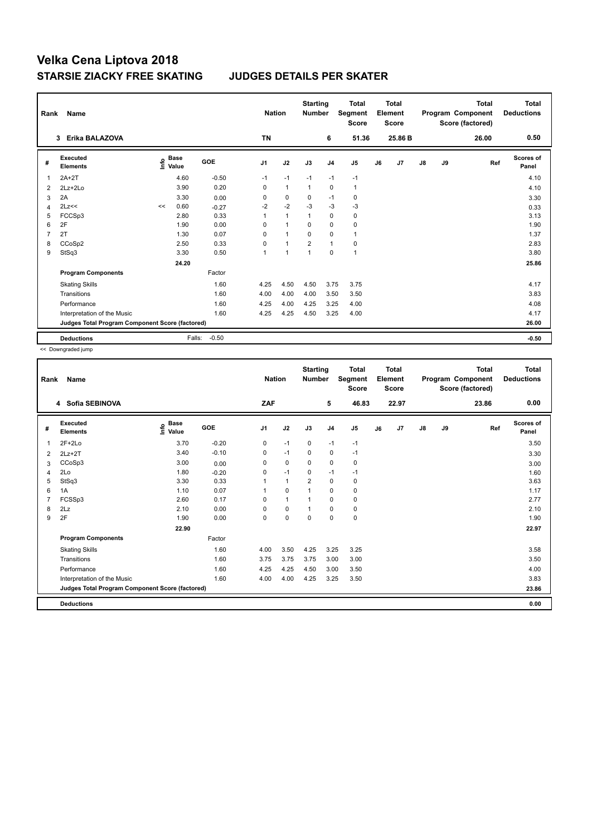| Rank | Name                                            |    |                      |         | <b>Nation</b>  |                | <b>Starting</b><br><b>Number</b> |                | <b>Total</b><br>Segment<br><b>Score</b> |    | <b>Total</b><br>Element<br>Score |               |    | <b>Total</b><br>Program Component<br>Score (factored) | Total<br><b>Deductions</b> |
|------|-------------------------------------------------|----|----------------------|---------|----------------|----------------|----------------------------------|----------------|-----------------------------------------|----|----------------------------------|---------------|----|-------------------------------------------------------|----------------------------|
|      | Erika BALAZOVA<br>3                             |    |                      |         | <b>TN</b>      |                |                                  | 6              | 51.36                                   |    | 25.86 B                          |               |    | 26.00                                                 | 0.50                       |
| #    | Executed<br><b>Elements</b>                     | ۴ů | <b>Base</b><br>Value | GOE     | J <sub>1</sub> | J2             | J3                               | J <sub>4</sub> | J <sub>5</sub>                          | J6 | J <sub>7</sub>                   | $\mathsf{J}8$ | J9 | Ref                                                   | Scores of<br>Panel         |
| 1    | $2A+2T$                                         |    | 4.60                 | $-0.50$ | $-1$           | $-1$           | $-1$                             | $-1$           | $-1$                                    |    |                                  |               |    |                                                       | 4.10                       |
| 2    | 2Lz+2Lo                                         |    | 3.90                 | 0.20    | 0              | $\overline{1}$ | $\mathbf{1}$                     | $\mathbf 0$    | $\mathbf{1}$                            |    |                                  |               |    |                                                       | 4.10                       |
| 3    | 2A                                              |    | 3.30                 | 0.00    | 0              | $\mathbf 0$    | 0                                | $-1$           | $\mathbf 0$                             |    |                                  |               |    |                                                       | 3.30                       |
| 4    | 2Lz<<                                           | << | 0.60                 | $-0.27$ | $-2$           | $-2$           | $-3$                             | $-3$           | $-3$                                    |    |                                  |               |    |                                                       | 0.33                       |
| 5    | FCCSp3                                          |    | 2.80                 | 0.33    | 1              | $\overline{1}$ | $\overline{1}$                   | $\mathbf 0$    | $\mathbf 0$                             |    |                                  |               |    |                                                       | 3.13                       |
| 6    | 2F                                              |    | 1.90                 | 0.00    | 0              | $\overline{1}$ | $\Omega$                         | $\Omega$       | 0                                       |    |                                  |               |    |                                                       | 1.90                       |
| 7    | 2T                                              |    | 1.30                 | 0.07    | 0              | $\overline{1}$ | $\mathbf 0$                      | $\mathbf 0$    | $\mathbf{1}$                            |    |                                  |               |    |                                                       | 1.37                       |
| 8    | CCoSp2                                          |    | 2.50                 | 0.33    | $\Omega$       | $\overline{1}$ | $\overline{2}$                   | $\mathbf{1}$   | $\mathbf 0$                             |    |                                  |               |    |                                                       | 2.83                       |
| 9    | StSq3                                           |    | 3.30                 | 0.50    | $\overline{A}$ | $\overline{1}$ | 1                                | $\mathbf 0$    | $\overline{1}$                          |    |                                  |               |    |                                                       | 3.80                       |
|      |                                                 |    | 24.20                |         |                |                |                                  |                |                                         |    |                                  |               |    |                                                       | 25.86                      |
|      | <b>Program Components</b>                       |    |                      | Factor  |                |                |                                  |                |                                         |    |                                  |               |    |                                                       |                            |
|      | <b>Skating Skills</b>                           |    |                      | 1.60    | 4.25           | 4.50           | 4.50                             | 3.75           | 3.75                                    |    |                                  |               |    |                                                       | 4.17                       |
|      | Transitions                                     |    |                      | 1.60    | 4.00           | 4.00           | 4.00                             | 3.50           | 3.50                                    |    |                                  |               |    |                                                       | 3.83                       |
|      | Performance                                     |    |                      | 1.60    | 4.25           | 4.00           | 4.25                             | 3.25           | 4.00                                    |    |                                  |               |    |                                                       | 4.08                       |
|      | Interpretation of the Music                     |    |                      | 1.60    | 4.25           | 4.25           | 4.50                             | 3.25           | 4.00                                    |    |                                  |               |    |                                                       | 4.17                       |
|      | Judges Total Program Component Score (factored) |    |                      |         |                |                |                                  |                |                                         |    |                                  |               |    |                                                       | 26.00                      |
|      | <b>Deductions</b>                               |    | Falls:               | $-0.50$ |                |                |                                  |                |                                         |    |                                  |               |    |                                                       | $-0.50$                    |

<< Downgraded jump

| Rank | Name                                            |                                  |            | <b>Nation</b>  |              | <b>Starting</b><br><b>Number</b> |                | <b>Total</b><br>Segment<br><b>Score</b> |    | <b>Total</b><br>Element<br><b>Score</b> |               |    | <b>Total</b><br>Program Component<br>Score (factored) | <b>Total</b><br><b>Deductions</b> |
|------|-------------------------------------------------|----------------------------------|------------|----------------|--------------|----------------------------------|----------------|-----------------------------------------|----|-----------------------------------------|---------------|----|-------------------------------------------------------|-----------------------------------|
|      | 4 Sofia SEBINOVA                                |                                  |            | ZAF            |              |                                  | 5              | 46.83                                   |    | 22.97                                   |               |    | 23.86                                                 | 0.00                              |
| #    | Executed<br><b>Elements</b>                     | <b>Base</b><br>e Base<br>⊆ Value | <b>GOE</b> | J <sub>1</sub> | J2           | J3                               | J <sub>4</sub> | J5                                      | J6 | J7                                      | $\mathsf{J}8$ | J9 | Ref                                                   | <b>Scores of</b><br>Panel         |
| 1    | $2F+2Lo$                                        | 3.70                             | $-0.20$    | 0              | $-1$         | $\mathbf 0$                      | $-1$           | $-1$                                    |    |                                         |               |    |                                                       | 3.50                              |
| 2    | $2Lz + 2T$                                      | 3.40                             | $-0.10$    | 0              | $-1$         | $\mathbf 0$                      | 0              | $-1$                                    |    |                                         |               |    |                                                       | 3.30                              |
| 3    | CCoSp3                                          | 3.00                             | 0.00       | 0              | 0            | $\Omega$                         | 0              | 0                                       |    |                                         |               |    |                                                       | 3.00                              |
| 4    | 2Lo                                             | 1.80                             | $-0.20$    | 0              | $-1$         | $\mathbf 0$                      | $-1$           | $-1$                                    |    |                                         |               |    |                                                       | 1.60                              |
| 5    | StSq3                                           | 3.30                             | 0.33       |                | $\mathbf{1}$ | $\overline{2}$                   | $\mathbf 0$    | 0                                       |    |                                         |               |    |                                                       | 3.63                              |
| 6    | 1A                                              | 1.10                             | 0.07       |                | $\mathbf 0$  |                                  | $\mathbf 0$    | $\pmb{0}$                               |    |                                         |               |    |                                                       | 1.17                              |
|      | FCSSp3                                          | 2.60                             | 0.17       | $\Omega$       | $\mathbf{1}$ |                                  | 0              | 0                                       |    |                                         |               |    |                                                       | 2.77                              |
| 8    | 2Lz                                             | 2.10                             | 0.00       | 0              | $\mathbf 0$  |                                  | 0              | $\pmb{0}$                               |    |                                         |               |    |                                                       | 2.10                              |
| 9    | 2F                                              | 1.90                             | 0.00       | 0              | $\mathbf 0$  | $\mathbf 0$                      | $\mathbf 0$    | $\pmb{0}$                               |    |                                         |               |    |                                                       | 1.90                              |
|      |                                                 | 22.90                            |            |                |              |                                  |                |                                         |    |                                         |               |    |                                                       | 22.97                             |
|      | <b>Program Components</b>                       |                                  | Factor     |                |              |                                  |                |                                         |    |                                         |               |    |                                                       |                                   |
|      | <b>Skating Skills</b>                           |                                  | 1.60       | 4.00           | 3.50         | 4.25                             | 3.25           | 3.25                                    |    |                                         |               |    |                                                       | 3.58                              |
|      | Transitions                                     |                                  | 1.60       | 3.75           | 3.75         | 3.75                             | 3.00           | 3.00                                    |    |                                         |               |    |                                                       | 3.50                              |
|      | Performance                                     |                                  | 1.60       | 4.25           | 4.25         | 4.50                             | 3.00           | 3.50                                    |    |                                         |               |    |                                                       | 4.00                              |
|      | Interpretation of the Music                     |                                  | 1.60       | 4.00           | 4.00         | 4.25                             | 3.25           | 3.50                                    |    |                                         |               |    |                                                       | 3.83                              |
|      | Judges Total Program Component Score (factored) |                                  |            |                |              |                                  |                |                                         |    |                                         |               |    |                                                       | 23.86                             |
|      | <b>Deductions</b>                               |                                  |            |                |              |                                  |                |                                         |    |                                         |               |    |                                                       | 0.00                              |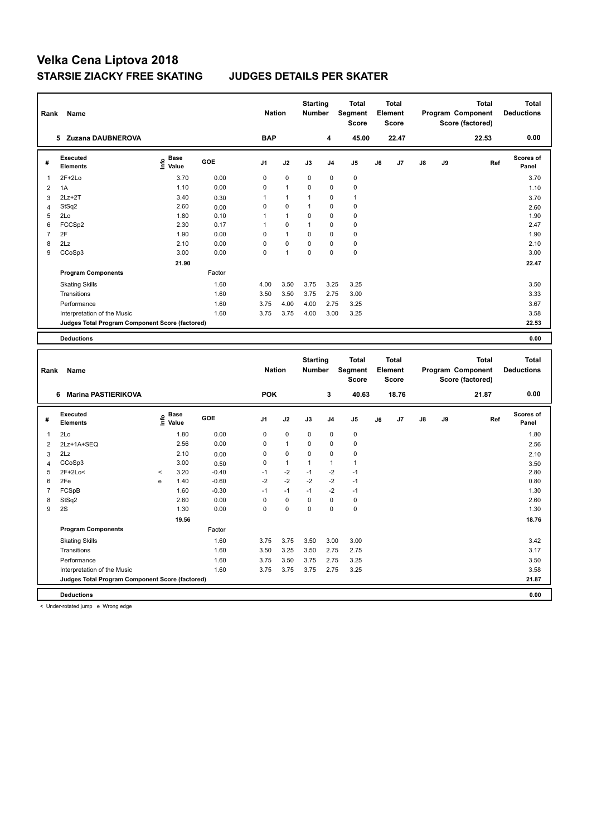| Rank           | Name                                            |                                           |         | <b>Nation</b>  |              | <b>Starting</b><br>Number |                            | <b>Total</b><br>Segment<br><b>Score</b> |    | <b>Total</b><br>Element<br>Score |    |    | <b>Total</b><br>Program Component<br>Score (factored) | <b>Total</b><br><b>Deductions</b> |
|----------------|-------------------------------------------------|-------------------------------------------|---------|----------------|--------------|---------------------------|----------------------------|-----------------------------------------|----|----------------------------------|----|----|-------------------------------------------------------|-----------------------------------|
|                | 5 Zuzana DAUBNEROVA                             |                                           |         | <b>BAP</b>     |              |                           | 4                          | 45.00                                   |    | 22.47                            |    |    | 22.53                                                 | 0.00                              |
| #              | <b>Executed</b><br><b>Elements</b>              | $\frac{e}{E}$ Base<br>$\frac{e}{E}$ Value | GOE     | J <sub>1</sub> | J2           | J3                        | J <sub>4</sub>             | J5                                      | J6 | J7                               | J8 | J9 | Ref                                                   | <b>Scores of</b><br>Panel         |
| 1              | 2F+2Lo                                          | 3.70                                      | 0.00    | 0              | $\mathbf 0$  | 0                         | $\mathbf 0$                | $\pmb{0}$                               |    |                                  |    |    |                                                       | 3.70                              |
| $\overline{2}$ | 1A                                              | 1.10                                      | 0.00    | 0              | $\mathbf{1}$ | 0                         | $\mathbf 0$                | $\pmb{0}$                               |    |                                  |    |    |                                                       | 1.10                              |
| 3              | $2Lz + 2T$                                      | 3.40                                      | 0.30    | $\mathbf{1}$   | $\mathbf{1}$ | 1                         | $\mathbf 0$                | $\mathbf{1}$                            |    |                                  |    |    |                                                       | 3.70                              |
| $\overline{4}$ | StSq2                                           | 2.60                                      | 0.00    | 0              | 0            | 1                         | $\mathbf 0$                | $\pmb{0}$                               |    |                                  |    |    |                                                       | 2.60                              |
| 5              | 2Lo                                             | 1.80                                      | 0.10    | 1              | 1            | 0                         | $\mathbf 0$                | $\mathbf 0$                             |    |                                  |    |    |                                                       | 1.90                              |
| 6              | FCCSp2                                          | 2.30                                      | 0.17    | $\mathbf{1}$   | 0            | 1                         | $\mathbf 0$                | $\pmb{0}$                               |    |                                  |    |    |                                                       | 2.47                              |
| $\overline{7}$ | 2F                                              | 1.90                                      | 0.00    | 0              | $\mathbf{1}$ | 0                         | $\mathbf 0$                | $\pmb{0}$                               |    |                                  |    |    |                                                       | 1.90                              |
| 8              | 2Lz                                             | 2.10                                      | 0.00    | 0              | 0            | 0                         | $\mathbf 0$                | $\pmb{0}$                               |    |                                  |    |    |                                                       | 2.10                              |
| 9              | CCoSp3                                          | 3.00                                      | 0.00    | $\mathbf 0$    | 1            | 0                         | $\mathbf 0$                | $\pmb{0}$                               |    |                                  |    |    |                                                       | 3.00                              |
|                |                                                 | 21.90                                     |         |                |              |                           |                            |                                         |    |                                  |    |    |                                                       | 22.47                             |
|                | <b>Program Components</b>                       |                                           | Factor  |                |              |                           |                            |                                         |    |                                  |    |    |                                                       |                                   |
|                | <b>Skating Skills</b>                           |                                           | 1.60    | 4.00           | 3.50         | 3.75                      | 3.25                       | 3.25                                    |    |                                  |    |    |                                                       | 3.50                              |
|                | Transitions                                     |                                           | 1.60    | 3.50           | 3.50         | 3.75                      | 2.75                       | 3.00                                    |    |                                  |    |    |                                                       | 3.33                              |
|                | Performance                                     |                                           | 1.60    | 3.75           | 4.00         | 4.00                      | 2.75                       | 3.25                                    |    |                                  |    |    |                                                       | 3.67                              |
|                | Interpretation of the Music                     |                                           | 1.60    | 3.75           | 3.75         | 4.00                      | 3.00                       | 3.25                                    |    |                                  |    |    |                                                       | 3.58                              |
|                | Judges Total Program Component Score (factored) |                                           |         |                |              |                           |                            |                                         |    |                                  |    |    |                                                       | 22.53                             |
|                |                                                 |                                           |         |                |              |                           |                            |                                         |    |                                  |    |    |                                                       |                                   |
|                | <b>Deductions</b>                               |                                           |         |                |              |                           |                            |                                         |    |                                  |    |    |                                                       | 0.00                              |
|                |                                                 |                                           |         |                |              |                           |                            |                                         |    |                                  |    |    |                                                       |                                   |
|                |                                                 |                                           |         |                |              |                           |                            |                                         |    |                                  |    |    |                                                       |                                   |
|                |                                                 |                                           |         |                |              | <b>Starting</b>           |                            | <b>Total</b>                            |    | <b>Total</b>                     |    |    | <b>Total</b>                                          | <b>Total</b>                      |
| Rank           | Name                                            |                                           |         | <b>Nation</b>  |              | Number                    |                            | <b>Segment</b>                          |    | Element                          |    |    | Program Component                                     | <b>Deductions</b>                 |
|                |                                                 |                                           |         |                |              |                           |                            | Score                                   |    | Score                            |    |    | Score (factored)                                      |                                   |
|                | 6 Marina PASTIERIKOVA                           |                                           |         | <b>POK</b>     |              |                           | 3                          | 40.63                                   |    | 18.76                            |    |    | 21.87                                                 | 0.00                              |
|                |                                                 |                                           |         |                |              |                           |                            |                                         |    |                                  |    |    |                                                       |                                   |
| #              | <b>Executed</b><br><b>Elements</b>              | $\overset{\circ}{\text{E}}$ Value         | GOE     | J <sub>1</sub> | J2           | J3                        | J <sub>4</sub>             | J5                                      | J6 | J7                               | J8 | J9 | Ref                                                   | Scores of<br>Panel                |
|                |                                                 |                                           |         |                |              |                           |                            |                                         |    |                                  |    |    |                                                       |                                   |
| 1              | 2Lo                                             | 1.80                                      | 0.00    | 0              | 0            | 0                         | 0                          | $\pmb{0}$                               |    |                                  |    |    |                                                       | 1.80                              |
| $\overline{2}$ | 2Lz+1A+SEQ                                      | 2.56                                      | 0.00    | 0              | $\mathbf{1}$ | 0                         | $\mathbf 0$                | $\mathbf 0$                             |    |                                  |    |    |                                                       | 2.56                              |
| 3              | 2Lz                                             | 2.10                                      | 0.00    | 0              | $\pmb{0}$    | 0                         | $\mathbf 0$                | $\mathbf 0$                             |    |                                  |    |    |                                                       | 2.10                              |
| $\overline{4}$ | CCoSp3                                          | 3.00                                      | 0.50    | 0              | $\mathbf{1}$ | 1                         | $\mathbf{1}$               | $\mathbf{1}$                            |    |                                  |    |    |                                                       | 3.50                              |
| 5              | 2F+2Lo<                                         | 3.20<br>$\,<$                             | $-0.40$ | $-1$           | $-2$         | $-1$                      | $-2$                       | $-1$                                    |    |                                  |    |    |                                                       | 2.80                              |
| 6              | 2Fe                                             | 1.40<br>e                                 | $-0.60$ | $-2$           | $-2$         | $-2$<br>$-1$              | $-2$                       | $-1$                                    |    |                                  |    |    |                                                       | 0.80                              |
| $\overline{7}$ | FCSpB                                           | 1.60                                      | $-0.30$ | $-1$           | $-1$         |                           | $-2$                       | $-1$                                    |    |                                  |    |    |                                                       | 1.30                              |
| 8              | StSq2                                           | 2.60                                      | 0.00    | 0              | $\pmb{0}$    | $\pmb{0}$<br>0            | $\mathbf 0$<br>$\mathbf 0$ | $\pmb{0}$                               |    |                                  |    |    |                                                       | 2.60                              |
| 9              | 2S                                              | 1.30                                      | 0.00    | 0              | 0            |                           |                            | $\pmb{0}$                               |    |                                  |    |    |                                                       | 1.30                              |
|                |                                                 | 19.56                                     |         |                |              |                           |                            |                                         |    |                                  |    |    |                                                       | 18.76                             |
|                | <b>Program Components</b>                       |                                           | Factor  |                |              |                           |                            |                                         |    |                                  |    |    |                                                       |                                   |
|                | <b>Skating Skills</b>                           |                                           | 1.60    | 3.75           | 3.75         | 3.50                      | 3.00                       | 3.00                                    |    |                                  |    |    |                                                       | 3.42                              |
|                | Transitions                                     |                                           | 1.60    | 3.50           | 3.25         | 3.50                      | 2.75                       | 2.75                                    |    |                                  |    |    |                                                       | 3.17                              |
|                | Performance                                     |                                           | 1.60    | 3.75           | 3.50         | 3.75                      | 2.75                       | 3.25                                    |    |                                  |    |    |                                                       | 3.50                              |
|                | Interpretation of the Music                     |                                           | 1.60    | 3.75           | 3.75         | 3.75                      | 2.75                       | 3.25                                    |    |                                  |    |    |                                                       | 3.58                              |
|                | Judges Total Program Component Score (factored) |                                           |         |                |              |                           |                            |                                         |    |                                  |    |    |                                                       | 21.87                             |

< Under-rotated jump e Wrong edge